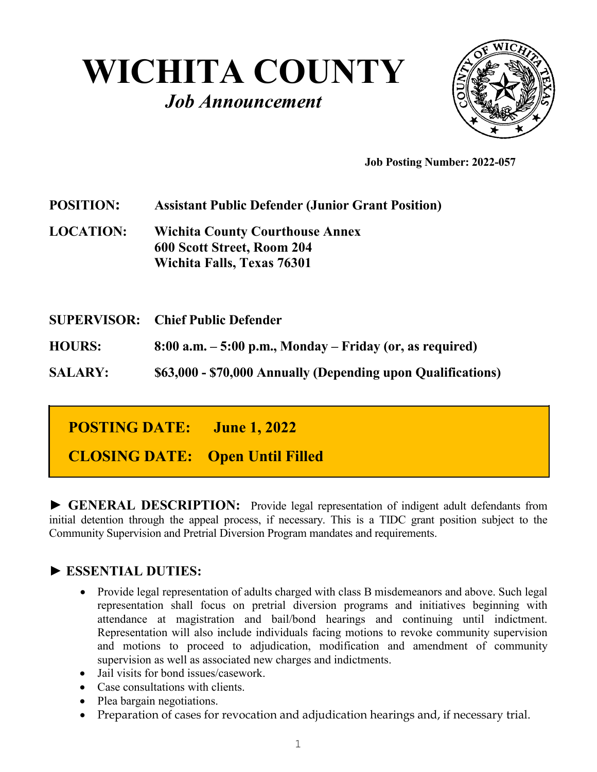# **WICHITA COUNTY** *Job Announcement*



**Job Posting Number: 2022-057**

**POSITION: Assistant Public Defender (Junior Grant Position)**

**LOCATION: Wichita County Courthouse Annex 600 Scott Street, Room 204 Wichita Falls, Texas 76301**

**SUPERVISOR: Chief Public Defender HOURS: 8:00 a.m. – 5:00 p.m., Monday – Friday (or, as required) SALARY: \$63,000 - \$70,000 Annually (Depending upon Qualifications)**

## **POSTING DATE: June 1, 2022**

### **CLOSING DATE: Open Until Filled**

**► GENERAL DESCRIPTION:** Provide legal representation of indigent adult defendants from initial detention through the appeal process, if necessary. This is a TIDC grant position subject to the Community Supervision and Pretrial Diversion Program mandates and requirements.

#### **► ESSENTIAL DUTIES:**

- Provide legal representation of adults charged with class B misdemeanors and above. Such legal representation shall focus on pretrial diversion programs and initiatives beginning with attendance at magistration and bail/bond hearings and continuing until indictment. Representation will also include individuals facing motions to revoke community supervision and motions to proceed to adjudication, modification and amendment of community supervision as well as associated new charges and indictments.
- Jail visits for bond issues/casework.
- Case consultations with clients.
- Plea bargain negotiations.
- Preparation of cases for revocation and adjudication hearings and, if necessary trial.